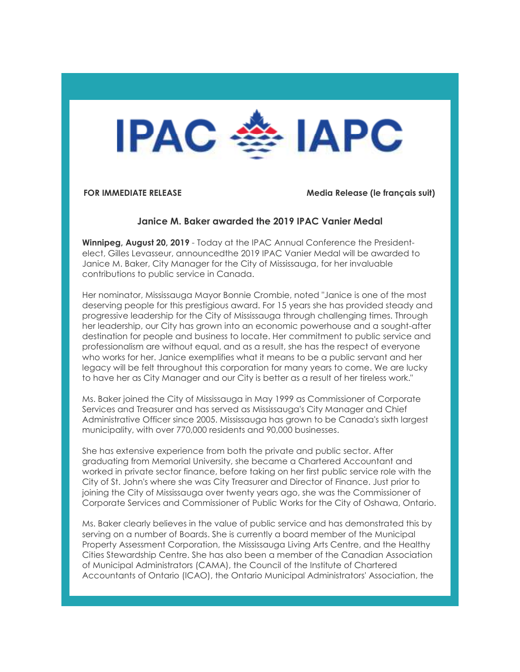

**FOR IMMEDIATE RELEASE Media Release (le français suit)**

## **Janice M. Baker awarded the 2019 IPAC Vanier Medal**

**Winnipeg, August 20, 2019** - Today at the IPAC Annual Conference the Presidentelect, Gilles Levasseur, announcedthe 2019 IPAC Vanier Medal will be awarded to Janice M. Baker, City Manager for the City of Mississauga, for her invaluable contributions to public service in Canada.

Her nominator, Mississauga Mayor Bonnie Crombie, noted "Janice is one of the most deserving people for this prestigious award. For 15 years she has provided steady and progressive leadership for the City of Mississauga through challenging times. Through her leadership, our City has grown into an economic powerhouse and a sought-after destination for people and business to locate. Her commitment to public service and professionalism are without equal, and as a result, she has the respect of everyone who works for her. Janice exemplifies what it means to be a public servant and her legacy will be felt throughout this corporation for many years to come. We are lucky to have her as City Manager and our City is better as a result of her tireless work."

Ms. Baker joined the City of Mississauga in May 1999 as Commissioner of Corporate Services and Treasurer and has served as Mississauga's City Manager and Chief Administrative Officer since 2005. Mississauga has grown to be Canada's sixth largest municipality, with over 770,000 residents and 90,000 businesses.

She has extensive experience from both the private and public sector. After graduating from Memorial University, she became a Chartered Accountant and worked in private sector finance, before taking on her first public service role with the City of St. John's where she was City Treasurer and Director of Finance. Just prior to joining the City of Mississauga over twenty years ago, she was the Commissioner of Corporate Services and Commissioner of Public Works for the City of Oshawa, Ontario.

Ms. Baker clearly believes in the value of public service and has demonstrated this by serving on a number of Boards. She is currently a board member of the Municipal Property Assessment Corporation, the Mississauga Living Arts Centre, and the Healthy Cities Stewardship Centre. She has also been a member of the Canadian Association of Municipal Administrators (CAMA), the Council of the Institute of Chartered Accountants of Ontario (ICAO), the Ontario Municipal Administrators' Association, the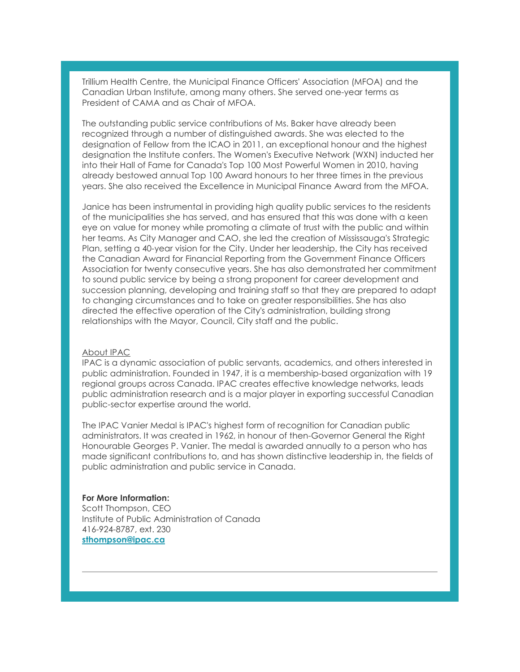Trillium Health Centre, the Municipal Finance Officers' Association (MFOA) and the Canadian Urban Institute, among many others. She served one-year terms as President of CAMA and as Chair of MFOA.

The outstanding public service contributions of Ms. Baker have already been recognized through a number of distinguished awards. She was elected to the designation of Fellow from the ICAO in 2011, an exceptional honour and the highest designation the Institute confers. The Women's Executive Network (WXN) inducted her into their Hall of Fame for Canada's Top 100 Most Powerful Women in 2010, having already bestowed annual Top 100 Award honours to her three times in the previous years. She also received the Excellence in Municipal Finance Award from the MFOA.

Janice has been instrumental in providing high quality public services to the residents of the municipalities she has served, and has ensured that this was done with a keen eye on value for money while promoting a climate of trust with the public and within her teams. As City Manager and CAO, she led the creation of Mississauga's Strategic Plan, setting a 40-year vision for the City. Under her leadership, the City has received the Canadian Award for Financial Reporting from the Government Finance Officers Association for twenty consecutive years. She has also demonstrated her commitment to sound public service by being a strong proponent for career development and succession planning, developing and training staff so that they are prepared to adapt to changing circumstances and to take on greater responsibilities. She has also directed the effective operation of the City's administration, building strong relationships with the Mayor, Council, City staff and the public.

### About IPAC

IPAC is a dynamic association of public servants, academics, and others interested in public administration. Founded in 1947, it is a membership-based organization with 19 regional groups across Canada. IPAC creates effective knowledge networks, leads public administration research and is a major player in exporting successful Canadian public-sector expertise around the world.

The IPAC Vanier Medal is IPAC's highest form of recognition for Canadian public administrators. It was created in 1962, in honour of then-Governor General the Right Honourable Georges P. Vanier. The medal is awarded annually to a person who has made significant contributions to, and has shown distinctive leadership in, the fields of public administration and public service in Canada.

### **For More Information:**

Scott Thompson, CEO Institute of Public Administration of Canada 416-924-8787, ext. 230 **sthompson@ipac.ca**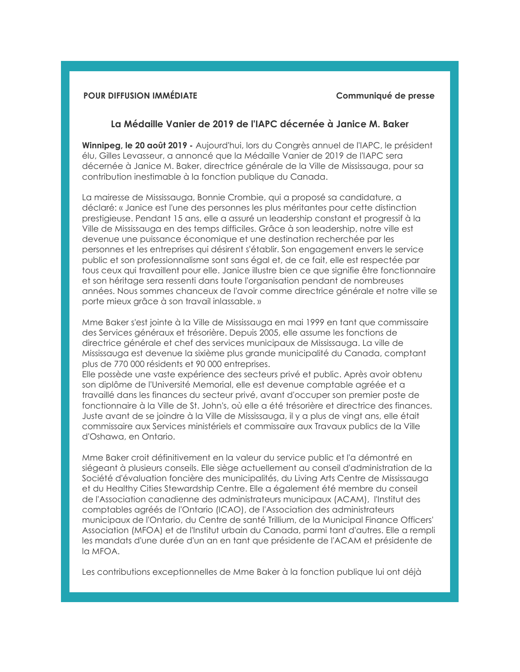# **POUR DIFFUSION IMMÉDIATE Communiqué de presse**

## **La Médaille Vanier de 2019 de l'IAPC décernée à Janice M. Baker**

**Winnipeg, le 20 août 2019 -** Aujourd'hui, lors du Congrès annuel de l'IAPC, le président élu, Gilles Levasseur, a annoncé que la Médaille Vanier de 2019 de l'IAPC sera décernée à Janice M. Baker, directrice générale de la Ville de Mississauga, pour sa contribution inestimable à la fonction publique du Canada.

La mairesse de Mississauga, Bonnie Crombie, qui a proposé sa candidature, a déclaré: « Janice est l'une des personnes les plus méritantes pour cette distinction prestigieuse. Pendant 15 ans, elle a assuré un leadership constant et progressif à la Ville de Mississauga en des temps difficiles. Grâce à son leadership, notre ville est devenue une puissance économique et une destination recherchée par les personnes et les entreprises qui désirent s'établir. Son engagement envers le service public et son professionnalisme sont sans égal et, de ce fait, elle est respectée par tous ceux qui travaillent pour elle. Janice illustre bien ce que signifie être fonctionnaire et son héritage sera ressenti dans toute l'organisation pendant de nombreuses années. Nous sommes chanceux de l'avoir comme directrice générale et notre ville se porte mieux grâce à son travail inlassable. »

Mme Baker s'est jointe à la Ville de Mississauga en mai 1999 en tant que commissaire des Services généraux et trésorière. Depuis 2005, elle assume les fonctions de directrice générale et chef des services municipaux de Mississauga. La ville de Mississauga est devenue la sixième plus grande municipalité du Canada, comptant plus de 770 000 résidents et 90 000 entreprises.

Elle possède une vaste expérience des secteurs privé et public. Après avoir obtenu son diplôme de l'Université Memorial, elle est devenue comptable agréée et a travaillé dans les finances du secteur privé, avant d'occuper son premier poste de fonctionnaire à la Ville de St. John's, où elle a été trésorière et directrice des finances. Juste avant de se joindre à la Ville de Mississauga, il y a plus de vingt ans, elle était commissaire aux Services ministériels et commissaire aux Travaux publics de la Ville d'Oshawa, en Ontario.

Mme Baker croit définitivement en la valeur du service public et l'a démontré en siégeant à plusieurs conseils. Elle siège actuellement au conseil d'administration de la Société d'évaluation foncière des municipalités, du Living Arts Centre de Mississauga et du Healthy Cities Stewardship Centre. Elle a également été membre du conseil de l'Association canadienne des administrateurs municipaux (ACAM), l'Institut des comptables agréés de l'Ontario (ICAO), de l'Association des administrateurs municipaux de l'Ontario, du Centre de santé Trillium, de la Municipal Finance Officers' Association (MFOA) et de l'Institut urbain du Canada, parmi tant d'autres. Elle a rempli les mandats d'une durée d'un an en tant que présidente de l'ACAM et présidente de la MFOA.

Les contributions exceptionnelles de Mme Baker à la fonction publique lui ont déjà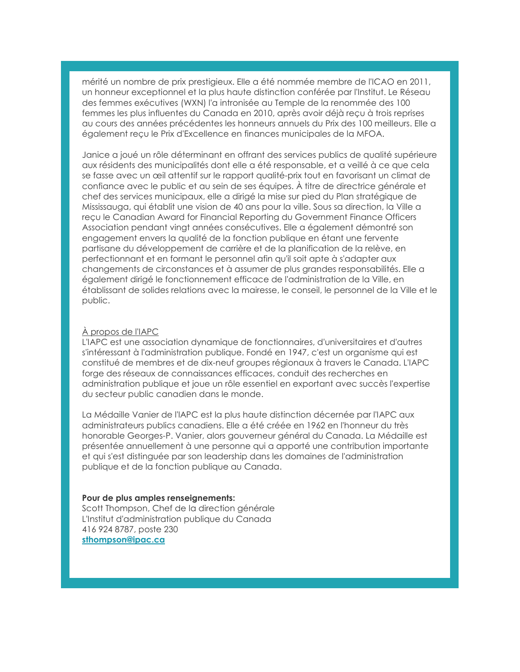mérité un nombre de prix prestigieux. Elle a été nommée membre de l'ICAO en 2011, un honneur exceptionnel et la plus haute distinction conférée par l'Institut. Le Réseau des femmes exécutives (WXN) l'a intronisée au Temple de la renommée des 100 femmes les plus influentes du Canada en 2010, après avoir déjà reçu à trois reprises au cours des années précédentes les honneurs annuels du Prix des 100 meilleurs. Elle a également reçu le Prix d'Excellence en finances municipales de la MFOA.

Janice a joué un rôle déterminant en offrant des services publics de qualité supérieure aux résidents des municipalités dont elle a été responsable, et a veillé à ce que cela se fasse avec un œil attentif sur le rapport qualité-prix tout en favorisant un climat de confiance avec le public et au sein de ses équipes. À titre de directrice générale et chef des services municipaux, elle a dirigé la mise sur pied du Plan stratégique de Mississauga, qui établit une vision de 40 ans pour la ville. Sous sa direction, la Ville a reçu le Canadian Award for Financial Reporting du Government Finance Officers Association pendant vingt années consécutives. Elle a également démontré son engagement envers la qualité de la fonction publique en étant une fervente partisane du développement de carrière et de la planification de la relève, en perfectionnant et en formant le personnel afin qu'il soit apte à s'adapter aux changements de circonstances et à assumer de plus grandes responsabilités. Elle a également dirigé le fonctionnement efficace de l'administration de la Ville, en établissant de solides relations avec la mairesse, le conseil, le personnel de la Ville et le public.

## À propos de l'IAPC

L'IAPC est une association dynamique de fonctionnaires, d'universitaires et d'autres s'intéressant à l'administration publique. Fondé en 1947, c'est un organisme qui est constitué de membres et de dix-neuf groupes régionaux à travers le Canada. L'IAPC forge des réseaux de connaissances efficaces, conduit des recherches en administration publique et joue un rôle essentiel en exportant avec succès l'expertise du secteur public canadien dans le monde.

La Médaille Vanier de l'IAPC est la plus haute distinction décernée par l'IAPC aux administrateurs publics canadiens. Elle a été créée en 1962 en l'honneur du très honorable Georges-P. Vanier, alors gouverneur général du Canada. La Médaille est présentée annuellement à une personne qui a apporté une contribution importante et qui s'est distinguée par son leadership dans les domaines de l'administration publique et de la fonction publique au Canada.

## **Pour de plus amples renseignements:**

Scott Thompson, Chef de la direction générale L'Institut d'administration publique du Canada 416 924 8787, poste 230 **sthompson@ipac.ca**